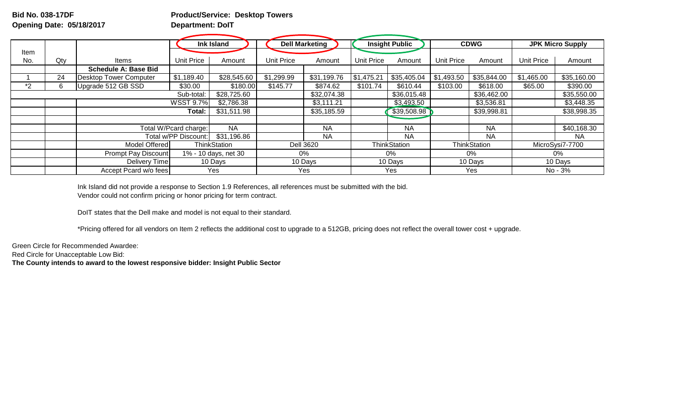## **Bid No. 038-17DF Product/Service: Desktop Towers Opening Date: 05/18/2017 Department: DoIT**

|      |     |                               | Ink Island                 |              | <b>Dell Marketing</b>         |                  | <b>Insight Public</b> |             | <b>CDWG</b>         |             | <b>JPK Micro Supply</b> |             |
|------|-----|-------------------------------|----------------------------|--------------|-------------------------------|------------------|-----------------------|-------------|---------------------|-------------|-------------------------|-------------|
| Item |     |                               |                            |              |                               |                  |                       |             |                     |             |                         |             |
| No.  | Qty | Items                         | Unit Price                 | Amount       | Unit Price                    | Amount           | Unit Price            | Amount      | <b>Unit Price</b>   | Amount      | <b>Unit Price</b>       | Amount      |
|      |     | <b>Schedule A: Base Bid</b>   |                            |              |                               |                  |                       |             |                     |             |                         |             |
|      | 24  | <b>Desktop Tower Computer</b> | \$1,189.40                 | \$28,545.60  | \$1,299.99                    | \$31,199.76      | \$1,475.21            | \$35,405.04 | \$1,493.50          | \$35,844.00 | \$1,465.00              | \$35,160.00 |
| *2   | 6   | Upgrade 512 GB SSD            | \$30.00                    | \$180.00     | \$145.77                      | \$874.62         | \$101.74              | \$610.44    | \$103.00            | \$618.00    | \$65.00                 | \$390.00    |
|      |     |                               | Sub-total:                 | \$28,725.60  |                               | \$32,074.38      |                       | \$36,015.48 |                     | \$36,462.00 |                         | \$35,550.00 |
|      |     |                               | <b>WSST 9.7%</b>           | \$2,786.38   |                               | \$3,111.21       |                       | \$3,493.50  |                     | \$3,536.81  |                         | \$3,448.35  |
|      |     |                               | Total:                     | \$31,511.98  |                               | \$35,185.59      |                       | \$39,508.98 |                     | \$39,998.81 |                         | \$38,998.35 |
|      |     |                               |                            |              |                               |                  |                       |             |                     |             |                         |             |
|      |     | Total W/Pcard charge:         |                            | <b>NA</b>    |                               | <b>NA</b>        |                       | <b>NA</b>   |                     | <b>NA</b>   |                         | \$40,168.30 |
|      |     | Total w/PP Discount:          |                            | \$31,196.86  |                               | <b>NA</b>        |                       | <b>NA</b>   |                     | <b>NA</b>   |                         | <b>NA</b>   |
|      |     | Model Offered                 |                            | ThinkStation |                               | <b>Dell 3620</b> | <b>ThinkStation</b>   |             | <b>ThinkStation</b> |             | MicroSysi7-7700         |             |
|      |     |                               | <b>Prompt Pay Discount</b> |              | 1% - 10 days, net 30<br>$0\%$ |                  | $0\%$                 |             | 0%                  |             | 0%                      |             |
|      |     | <b>Delivery Time</b>          |                            | 10 Days      | 10 Days                       |                  | 10 Days               |             | 10 Days             |             | 10 Days                 |             |
|      |     | Accept Pcard w/o fees         |                            | Yes          |                               | Yes              |                       | Yes         |                     | Yes         |                         | No - 3%     |

Ink Island did not provide a response to Section 1.9 References, all references must be submitted with the bid. Vendor could not confirm pricing or honor pricing for term contract.

DoIT states that the Dell make and model is not equal to their standard.

\*Pricing offered for all vendors on Item 2 reflects the additional cost to upgrade to a 512GB, pricing does not reflect the overall tower cost + upgrade.

Green Circle for Recommended Awardee:

Red Circle for Unacceptable Low Bid:

**The County intends to award to the lowest responsive bidder: Insight Public Sector**